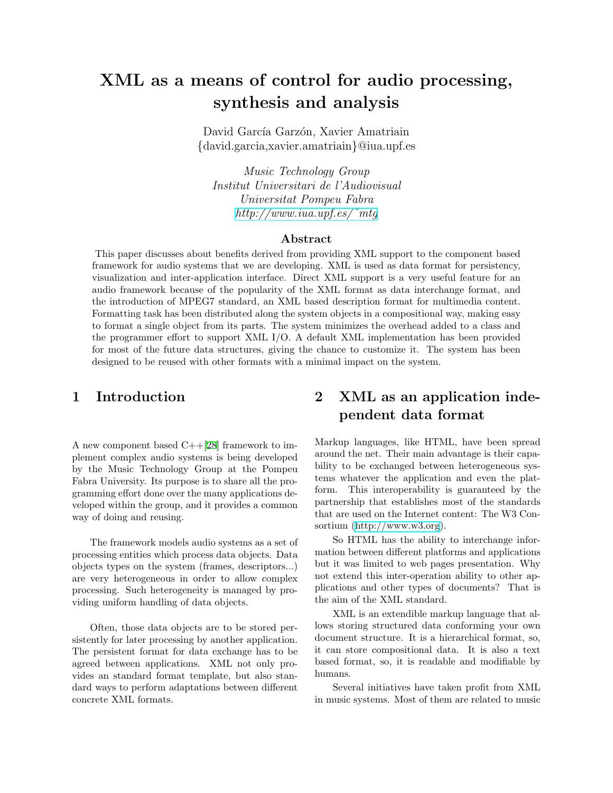# XML as a means of control for audio processing, synthesis and analysis

David García Garzón, Xavier Amatriain {david.garcia,xavier.amatriain}@iua.upf.es

Music Technology Group Institut Universitari de l'Audiovisual Universitat Pompeu Fabra [http://www.iua.upf.es/˜mtg](http://www.iua.upf.es/~mtg)

#### Abstract

This paper discusses about benefits derived from providing XML support to the component based framework for audio systems that we are developing. XML is used as data format for persistency, visualization and inter-application interface. Direct XML support is a very useful feature for an audio framework because of the popularity of the XML format as data interchange format, and the introduction of MPEG7 standard, an XML based description format for multimedia content. Formatting task has been distributed along the system objects in a compositional way, making easy to format a single object from its parts. The system minimizes the overhead added to a class and the programmer effort to support XML I/O. A default XML implementation has been provided for most of the future data structures, giving the chance to customize it. The system has been designed to be reused with other formats with a minimal impact on the system.

## 1 Introduction

A new component based C++[\[28](#page-6-0)] framework to implement complex audio systems is being developed by the Music Technology Group at the Pompeu Fabra University. Its purpose is to share all the programming effort done over the many applications developed within the group, and it provides a common way of doing and reusing.

The framework models audio systems as a set of processing entities which process data objects. Data objects types on the system (frames, descriptors...) are very heterogeneous in order to allow complex processing. Such heterogeneity is managed by providing uniform handling of data objects.

Often, those data objects are to be stored persistently for later processing by another application. The persistent format for data exchange has to be agreed between applications. XML not only provides an standard format template, but also standard ways to perform adaptations between different concrete XML formats.

## 2 XML as an application independent data format

Markup languages, like HTML, have been spread around the net. Their main advantage is their capability to be exchanged between heterogeneous systems whatever the application and even the platform. This interoperability is guaranteed by the partnership that establishes most of the standards that are used on the Internet content: The W3 Consortium(<http://www.w3.org>).

So HTML has the ability to interchange information between different platforms and applications but it was limited to web pages presentation. Why not extend this inter-operation ability to other applications and other types of documents? That is the aim of the XML standard.

XML is an extendible markup language that allows storing structured data conforming your own document structure. It is a hierarchical format, so, it can store compositional data. It is also a text based format, so, it is readable and modifiable by humans.

Several initiatives have taken profit from XML in music systems. Most of them are related to music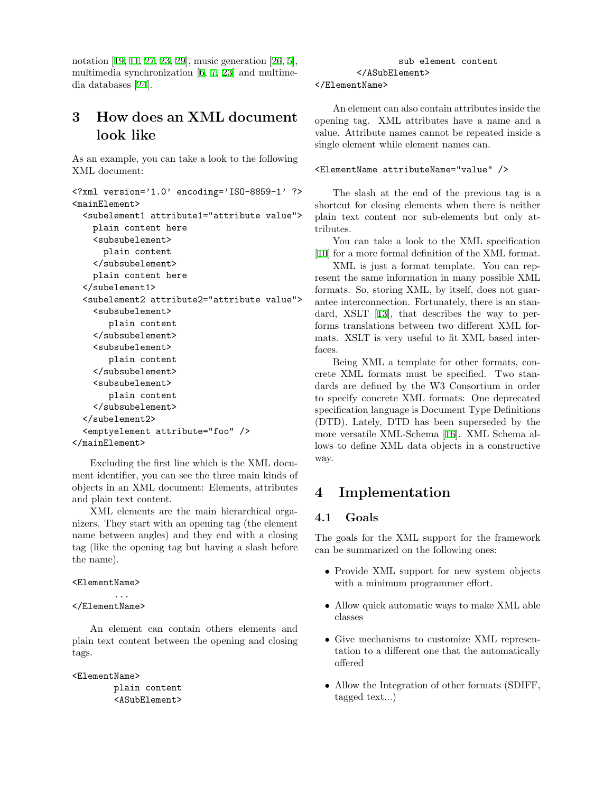notation[[19,](#page-5-0) [11](#page-5-1), [27,](#page-6-1) [23,](#page-6-2) [29](#page-6-3)], music generation[[26,](#page-6-4) [5\]](#page-5-2), multimedia synchronization [\[6](#page-5-3), [7,](#page-5-4) [23](#page-6-2)] and multimedia databases[[24\]](#page-6-5).

## 3 How does an XML document look like

As an example, you can take a look to the following XML document:

```
<?xml version='1.0' encoding='ISO-8859-1' ?>
<mainElement>
  <subelement1 attribute1="attribute value">
    plain content here
    <subsubelement>
      plain content
    </subsubelement>
    plain content here
  </subelement1>
  <subelement2 attribute2="attribute value">
    <subsubelement>
       plain content
    </subsubelement>
    <subsubelement>
       plain content
    </subsubelement>
    <subsubelement>
       plain content
    </subsubelement>
  </subelement2>
  <emptyelement attribute="foo" />
</mainElement>
```
Excluding the first line which is the XML document identifier, you can see the three main kinds of objects in an XML document: Elements, attributes and plain text content.

XML elements are the main hierarchical organizers. They start with an opening tag (the element name between angles) and they end with a closing tag (like the opening tag but having a slash before the name).

#### <ElementName>

#### </ElementName>

...

An element can contain others elements and plain text content between the opening and closing tags.

<ElementName>

plain content <ASubElement>

## sub element content </ASubElement>

#### </ElementName>

An element can also contain attributes inside the opening tag. XML attributes have a name and a value. Attribute names cannot be repeated inside a single element while element names can.

#### <ElementName attributeName="value" />

The slash at the end of the previous tag is a shortcut for closing elements when there is neither plain text content nor sub-elements but only attributes.

You can take a look to the XML specification [\[10](#page-5-5)] for a more formal definition of the XML format.

XML is just a format template. You can represent the same information in many possible XML formats. So, storing XML, by itself, does not guarantee interconnection. Fortunately, there is an standard, XSLT[[13\]](#page-5-6), that describes the way to performs translations between two different XML formats. XSLT is very useful to fit XML based interfaces.

Being XML a template for other formats, concrete XML formats must be specified. Two standards are defined by the W3 Consortium in order to specify concrete XML formats: One deprecated specification language is Document Type Definitions (DTD). Lately, DTD has been superseded by the more versatile XML-Schema[[16\]](#page-5-7). XML Schema allows to define XML data objects in a constructive way.

## 4 Implementation

#### 4.1 Goals

The goals for the XML support for the framework can be summarized on the following ones:

- Provide XML support for new system objects with a minimum programmer effort.
- Allow quick automatic ways to make XML able classes
- Give mechanisms to customize XML representation to a different one that the automatically offered
- Allow the Integration of other formats (SDIFF, tagged text...)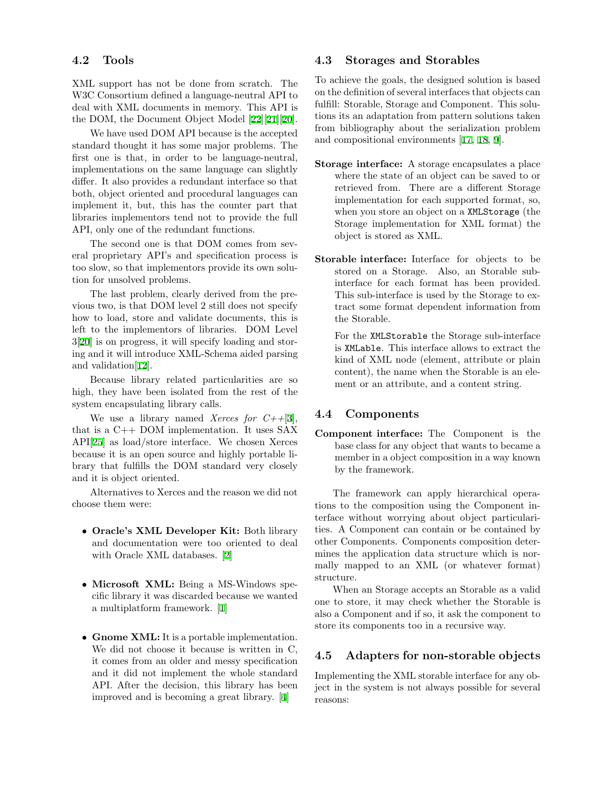#### 4.2 Tools

XML support has not be done from scratch. The W3C Consortium defined a language-neutral API to deal with XML documents in memory. This API is the DOM, the Document Object Model [\[22\]](#page-6-6)[\[21](#page-6-7)][\[20\]](#page-6-8).

We have used DOM API because is the accepted standard thought it has some major problems. The first one is that, in order to be language-neutral, implementations on the same language can slightly differ. It also provides a redundant interface so that both, object oriented and procedural languages can implement it, but, this has the counter part that libraries implementors tend not to provide the full API, only one of the redundant functions.

The second one is that DOM comes from several proprietary API's and specification process is too slow, so that implementors provide its own solution for unsolved problems.

The last problem, clearly derived from the previous two, is that DOM level 2 still does not specify how to load, store and validate documents, this is left to the implementors of libraries. DOM Level 3[[20\]](#page-6-8) is on progress, it will specify loading and storing and it will introduce XML-Schema aided parsing and validation[\[12](#page-5-8)].

Because library related particularities are so high, they have been isolated from the rest of the system encapsulating library calls.

We use a library named *Xerces for*  $C++[3]$  $C++[3]$ , that is a C++ DOM implementation. It uses SAX API[[25\]](#page-6-9) as load/store interface. We chosen Xerces because it is an open source and highly portable library that fulfills the DOM standard very closely and it is object oriented.

Alternatives to Xerces and the reason we did not choose them were:

- Oracle's XML Developer Kit: Both library and documentation were too oriented to deal with Oracle XML databases. [\[2](#page-5-10)]
- Microsoft XML: Being a MS-Windows specific library it was discarded because we wanted a multiplatform framework.[[1\]](#page-5-11)
- Gnome XML: It is a portable implementation. We did not choose it because is written in C, it comes from an older and messy specification and it did not implement the whole standard API. After the decision, this library has been improved and is becoming a great library. [\[4](#page-5-12)]

#### 4.3 Storages and Storables

To achieve the goals, the designed solution is based on the definition of several interfaces that objects can fulfill: Storable, Storage and Component. This solutions its an adaptation from pattern solutions taken from bibliography about the serialization problem and compositional environments [\[17](#page-5-13), [18](#page-5-14), [9](#page-5-15)].

- Storage interface: A storage encapsulates a place where the state of an object can be saved to or retrieved from. There are a different Storage implementation for each supported format, so, when you store an object on a XMLStorage (the Storage implementation for XML format) the object is stored as XML.
- Storable interface: Interface for objects to be stored on a Storage. Also, an Storable subinterface for each format has been provided. This sub-interface is used by the Storage to extract some format dependent information from the Storable.

For the XMLStorable the Storage sub-interface is XMLable. This interface allows to extract the kind of XML node (element, attribute or plain content), the name when the Storable is an element or an attribute, and a content string.

#### 4.4 Components

Component interface: The Component is the base class for any object that wants to became a member in a object composition in a way known by the framework.

The framework can apply hierarchical operations to the composition using the Component interface without worrying about object particularities. A Component can contain or be contained by other Components. Components composition determines the application data structure which is normally mapped to an XML (or whatever format) structure.

When an Storage accepts an Storable as a valid one to store, it may check whether the Storable is also a Component and if so, it ask the component to store its components too in a recursive way.

#### 4.5 Adapters for non-storable objects

Implementing the XML storable interface for any object in the system is not always possible for several reasons: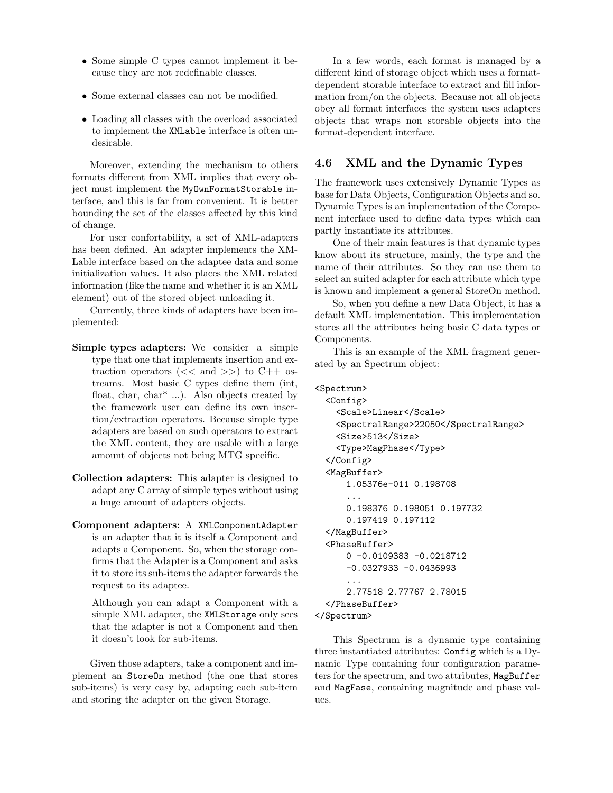- Some simple C types cannot implement it because they are not redefinable classes.
- Some external classes can not be modified.
- Loading all classes with the overload associated to implement the XMLable interface is often undesirable.

Moreover, extending the mechanism to others formats different from XML implies that every object must implement the MyOwnFormatStorable interface, and this is far from convenient. It is better bounding the set of the classes affected by this kind of change.

For user confortability, a set of XML-adapters has been defined. An adapter implements the XM-Lable interface based on the adaptee data and some initialization values. It also places the XML related information (like the name and whether it is an XML element) out of the stored object unloading it.

Currently, three kinds of adapters have been implemented:

- Simple types adapters: We consider a simple type that one that implements insertion and extraction operators  $\left(\ll\right)$  and  $\gg$  to C++ ostreams. Most basic C types define them (int, float, char, char\* ...). Also objects created by the framework user can define its own insertion/extraction operators. Because simple type adapters are based on such operators to extract the XML content, they are usable with a large amount of objects not being MTG specific.
- Collection adapters: This adapter is designed to adapt any C array of simple types without using a huge amount of adapters objects.
- Component adapters: A XMLComponentAdapter is an adapter that it is itself a Component and adapts a Component. So, when the storage confirms that the Adapter is a Component and asks it to store its sub-items the adapter forwards the request to its adaptee.

Although you can adapt a Component with a simple XML adapter, the XMLStorage only sees that the adapter is not a Component and then it doesn't look for sub-items.

Given those adapters, take a component and implement an StoreOn method (the one that stores sub-items) is very easy by, adapting each sub-item and storing the adapter on the given Storage.

In a few words, each format is managed by a different kind of storage object which uses a formatdependent storable interface to extract and fill information from/on the objects. Because not all objects obey all format interfaces the system uses adapters objects that wraps non storable objects into the format-dependent interface.

### 4.6 XML and the Dynamic Types

The framework uses extensively Dynamic Types as base for Data Objects, Configuration Objects and so. Dynamic Types is an implementation of the Component interface used to define data types which can partly instantiate its attributes.

One of their main features is that dynamic types know about its structure, mainly, the type and the name of their attributes. So they can use them to select an suited adapter for each attribute which type is known and implement a general StoreOn method.

So, when you define a new Data Object, it has a default XML implementation. This implementation stores all the attributes being basic C data types or Components.

This is an example of the XML fragment generated by an Spectrum object:

```
<Spectrum>
```

```
<Config>
    <Scale>Linear</Scale>
    <SpectralRange>22050</SpectralRange>
    <Size>513</Size>
    <Type>MagPhase</Type>
 </Config>
  <MagBuffer>
      1.05376e-011 0.198708
      ...
      0.198376 0.198051 0.197732
      0.197419 0.197112
 </MagBuffer>
  <PhaseBuffer>
      0 -0.0109383 -0.0218712
      -0.0327933 -0.0436993
      ...
      2.77518 2.77767 2.78015
 </PhaseBuffer>
</Spectrum>
```
This Spectrum is a dynamic type containing three instantiated attributes: Config which is a Dynamic Type containing four configuration parameters for the spectrum, and two attributes, MagBuffer and MagFase, containing magnitude and phase values.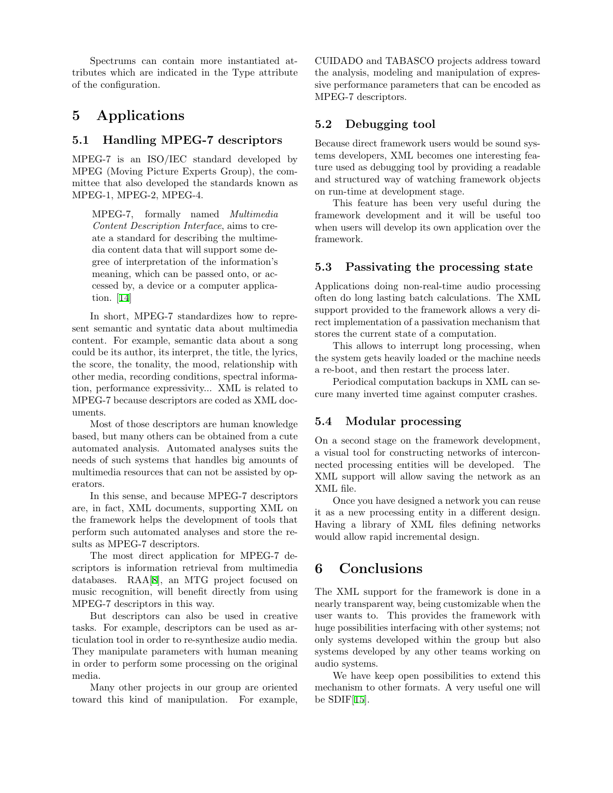Spectrums can contain more instantiated attributes which are indicated in the Type attribute of the configuration.

## 5 Applications

#### 5.1 Handling MPEG-7 descriptors

MPEG-7 is an ISO/IEC standard developed by MPEG (Moving Picture Experts Group), the committee that also developed the standards known as MPEG-1, MPEG-2, MPEG-4.

MPEG-7, formally named Multimedia Content Description Interface, aims to create a standard for describing the multimedia content data that will support some degree of interpretation of the information's meaning, which can be passed onto, or accessed by, a device or a computer application. [\[14](#page-5-16)]

In short, MPEG-7 standardizes how to represent semantic and syntatic data about multimedia content. For example, semantic data about a song could be its author, its interpret, the title, the lyrics, the score, the tonality, the mood, relationship with other media, recording conditions, spectral information, performance expressivity... XML is related to MPEG-7 because descriptors are coded as XML documents.

Most of those descriptors are human knowledge based, but many others can be obtained from a cute automated analysis. Automated analyses suits the needs of such systems that handles big amounts of multimedia resources that can not be assisted by operators.

In this sense, and because MPEG-7 descriptors are, in fact, XML documents, supporting XML on the framework helps the development of tools that perform such automated analyses and store the results as MPEG-7 descriptors.

The most direct application for MPEG-7 descriptors is information retrieval from multimedia databases. RAA[\[8](#page-5-17)], an MTG project focused on music recognition, will benefit directly from using MPEG-7 descriptors in this way.

But descriptors can also be used in creative tasks. For example, descriptors can be used as articulation tool in order to re-synthesize audio media. They manipulate parameters with human meaning in order to perform some processing on the original media.

Many other projects in our group are oriented toward this kind of manipulation. For example, CUIDADO and TABASCO projects address toward the analysis, modeling and manipulation of expressive performance parameters that can be encoded as MPEG-7 descriptors.

#### 5.2 Debugging tool

Because direct framework users would be sound systems developers, XML becomes one interesting feature used as debugging tool by providing a readable and structured way of watching framework objects on run-time at development stage.

This feature has been very useful during the framework development and it will be useful too when users will develop its own application over the framework.

#### 5.3 Passivating the processing state

Applications doing non-real-time audio processing often do long lasting batch calculations. The XML support provided to the framework allows a very direct implementation of a passivation mechanism that stores the current state of a computation.

This allows to interrupt long processing, when the system gets heavily loaded or the machine needs a re-boot, and then restart the process later.

Periodical computation backups in XML can secure many inverted time against computer crashes.

#### 5.4 Modular processing

On a second stage on the framework development, a visual tool for constructing networks of interconnected processing entities will be developed. The XML support will allow saving the network as an XML file.

Once you have designed a network you can reuse it as a new processing entity in a different design. Having a library of XML files defining networks would allow rapid incremental design.

## 6 Conclusions

The XML support for the framework is done in a nearly transparent way, being customizable when the user wants to. This provides the framework with huge possibilities interfacing with other systems; not only systems developed within the group but also systems developed by any other teams working on audio systems.

We have keep open possibilities to extend this mechanism to other formats. A very useful one will be  $SDIF[15]$  $SDIF[15]$  $SDIF[15]$ .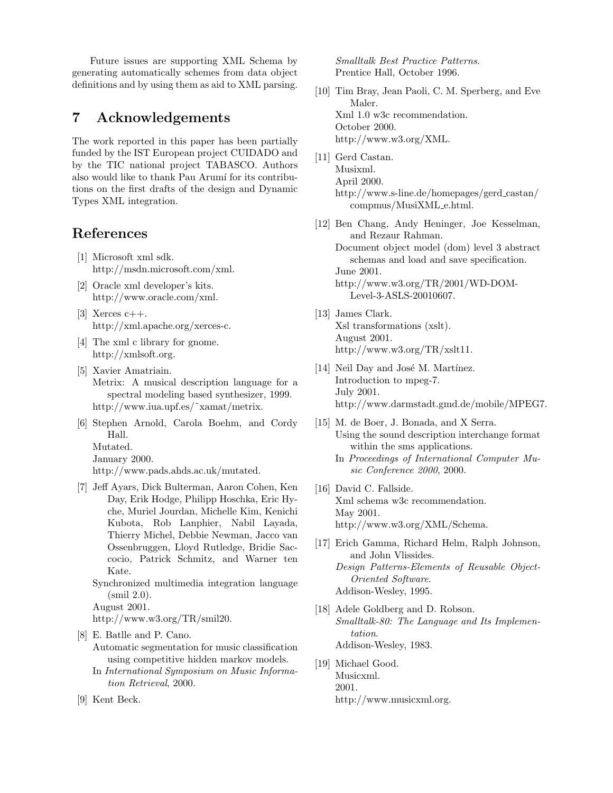Future issues are supporting XML Schema by generating automatically schemes from data object definitions and by using them as aid to XML parsing.

## 7 Acknowledgements

The work reported in this paper has been partially funded by the IST European project CUIDADO and by the TIC national project TABASCO. Authors also would like to thank Pau Arumí for its contributions on the first drafts of the design and Dynamic Types XML integration.

## References

- <span id="page-5-11"></span>[1] Microsoft xml sdk. http://msdn.microsoft.com/xml.
- <span id="page-5-10"></span>[2] Oracle xml developer's kits. http://www.oracle.com/xml.
- <span id="page-5-9"></span>[3] Xerces  $c++$ . http://xml.apache.org/xerces-c.
- <span id="page-5-12"></span>[4] The xml c library for gnome. http://xmlsoft.org.
- <span id="page-5-2"></span>[5] Xavier Amatriain. Metrix: A musical description language for a spectral modeling based synthesizer, 1999. http://www.iua.upf.es/˜xamat/metrix.
- <span id="page-5-3"></span>[6] Stephen Arnold, Carola Boehm, and Cordy Hall. Mutated.

January 2000.

http://www.pads.ahds.ac.uk/mutated.

- <span id="page-5-4"></span>[7] Jeff Ayars, Dick Bulterman, Aaron Cohen, Ken Day, Erik Hodge, Philipp Hoschka, Eric Hyche, Muriel Jourdan, Michelle Kim, Kenichi Kubota, Rob Lanphier, Nabil Layada, Thierry Michel, Debbie Newman, Jacco van Ossenbruggen, Lloyd Rutledge, Bridie Saccocio, Patrick Schmitz, and Warner ten Kate.
	- Synchronized multimedia integration language (smil 2.0).

August 2001.

http://www.w3.org/TR/smil20.

<span id="page-5-17"></span>[8] E. Batlle and P. Cano.

- Automatic segmentation for music classification using competitive hidden markov models.
- In International Symposium on Music Information Retrieval, 2000.
- <span id="page-5-15"></span>[9] Kent Beck.

Smalltalk Best Practice Patterns. Prentice Hall, October 1996.

- <span id="page-5-5"></span>[10] Tim Bray, Jean Paoli, C. M. Sperberg, and Eve Maler. Xml 1.0 w3c recommendation. October 2000. http://www.w3.org/XML.
- <span id="page-5-1"></span>[11] Gerd Castan. Musixml. April 2000. http://www.s-line.de/homepages/gerd castan/ compmus/MusiXML e.html.
- <span id="page-5-8"></span>[12] Ben Chang, Andy Heninger, Joe Kesselman, and Rezaur Rahman.

Document object model (dom) level 3 abstract schemas and load and save specification. June 2001. http://www.w3.org/TR/2001/WD-DOM-

Level-3-ASLS-20010607.

- <span id="page-5-6"></span>[13] James Clark. Xsl transformations (xslt). August 2001. http://www.w3.org/TR/xslt11.
- <span id="page-5-16"></span>[14] Neil Day and José M. Martínez. Introduction to mpeg-7. July 2001. http://www.darmstadt.gmd.de/mobile/MPEG7.
- <span id="page-5-18"></span>[15] M. de Boer, J. Bonada, and X Serra. Using the sound description interchange format within the sms applications.
	- In Proceedings of International Computer Music Conference 2000, 2000.
- <span id="page-5-7"></span>[16] David C. Fallside. Xml schema w3c recommendation. May 2001. http://www.w3.org/XML/Schema.
- <span id="page-5-13"></span>[17] Erich Gamma, Richard Helm, Ralph Johnson, and John Vlissides. Design Patterns-Elements of Reusable Object-Oriented Software. Addison-Wesley, 1995.
- <span id="page-5-14"></span>[18] Adele Goldberg and D. Robson. Smalltalk-80: The Language and Its Implementation. Addison-Wesley, 1983.
- <span id="page-5-0"></span>[19] Michael Good. Musicxml. 2001. http://www.musicxml.org.